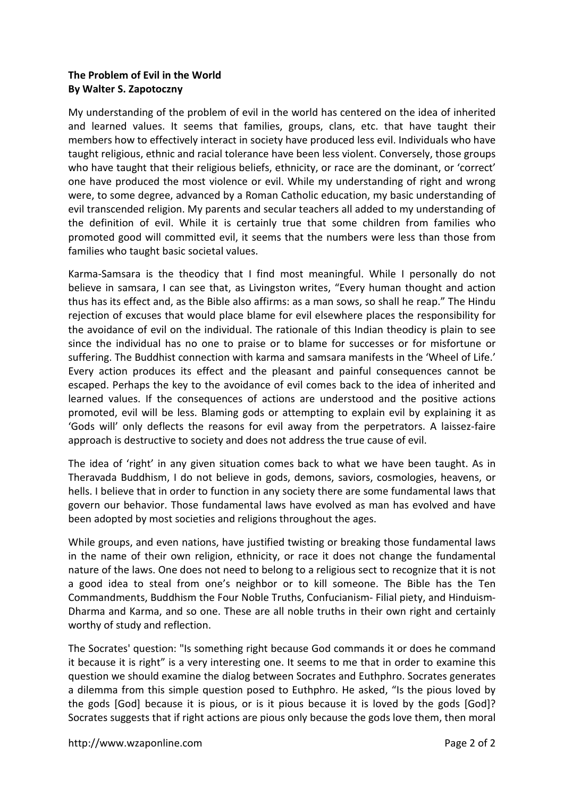## **The Problem of Evil in the World By Walter S. Zapotoczny**

My understanding of the problem of evil in the world has centered on the idea of inherited and learned values. It seems that families, groups, clans, etc. that have taught their members how to effectively interact in society have produced less evil. Individuals who have taught religious, ethnic and racial tolerance have been less violent. Conversely, those groups who have taught that their religious beliefs, ethnicity, or race are the dominant, or 'correct' one have produced the most violence or evil. While my understanding of right and wrong were, to some degree, advanced by a Roman Catholic education, my basic understanding of evil transcended religion. My parents and secular teachers all added to my understanding of the definition of evil. While it is certainly true that some children from families who promoted good will committed evil, it seems that the numbers were less than those from families who taught basic societal values.

Karma-Samsara is the theodicy that I find most meaningful. While I personally do not believe in samsara, I can see that, as Livingston writes, "Every human thought and action thus has its effect and, as the Bible also affirms: as a man sows, so shall he reap." The Hindu rejection of excuses that would place blame for evil elsewhere places the responsibility for the avoidance of evil on the individual. The rationale of this Indian theodicy is plain to see since the individual has no one to praise or to blame for successes or for misfortune or suffering. The Buddhist connection with karma and samsara manifests in the 'Wheel of Life.' Every action produces its effect and the pleasant and painful consequences cannot be escaped. Perhaps the key to the avoidance of evil comes back to the idea of inherited and learned values. If the consequences of actions are understood and the positive actions promoted, evil will be less. Blaming gods or attempting to explain evil by explaining it as 'Gods will' only deflects the reasons for evil away from the perpetrators. A laissez-faire approach is destructive to society and does not address the true cause of evil.

The idea of 'right' in any given situation comes back to what we have been taught. As in Theravada Buddhism, I do not believe in gods, demons, saviors, cosmologies, heavens, or hells. I believe that in order to function in any society there are some fundamental laws that govern our behavior. Those fundamental laws have evolved as man has evolved and have been adopted by most societies and religions throughout the ages.

While groups, and even nations, have justified twisting or breaking those fundamental laws in the name of their own religion, ethnicity, or race it does not change the fundamental nature of the laws. One does not need to belong to a religious sect to recognize that it is not a good idea to steal from one's neighbor or to kill someone. The Bible has the Ten Commandments, Buddhism the Four Noble Truths, Confucianism- Filial piety, and Hinduism-Dharma and Karma, and so one. These are all noble truths in their own right and certainly worthy of study and reflection.

The Socrates' question: "Is something right because God commands it or does he command it because it is right" is a very interesting one. It seems to me that in order to examine this question we should examine the dialog between Socrates and Euthphro. Socrates generates a dilemma from this simple question posed to Euthphro. He asked, "Is the pious loved by the gods [God] because it is pious, or is it pious because it is loved by the gods [God]? Socrates suggests that if right actions are pious only because the gods love them, then moral